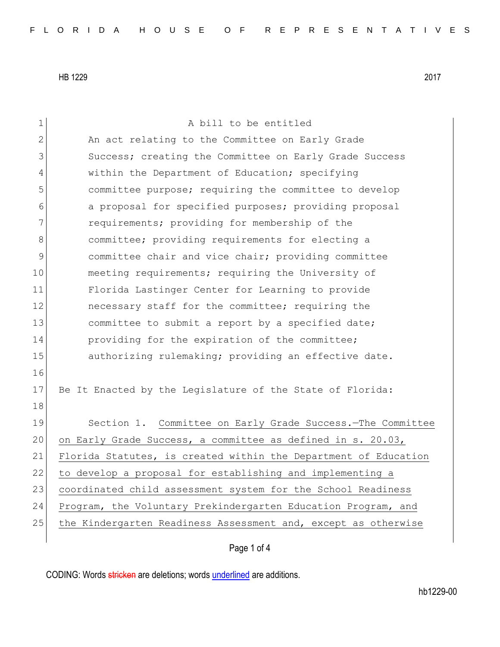1 a bill to be entitled 2 An act relating to the Committee on Early Grade 3 Success; creating the Committee on Early Grade Success 4 within the Department of Education; specifying 5 committee purpose; requiring the committee to develop 6 6 6 a proposal for specified purposes; providing proposal 7 requirements; providing for membership of the 8 8 committee; providing requirements for electing a 9 9 committee chair and vice chair; providing committee 10 meeting requirements; requiring the University of 11 Florida Lastinger Center for Learning to provide 12 **necessary staff for the committee; requiring the** 13 committee to submit a report by a specified date; 14 providing for the expiration of the committee; 15 authorizing rulemaking; providing an effective date. 16 17 Be It Enacted by the Legislature of the State of Florida: 18 19 Section 1. Committee on Early Grade Success. The Committee 20 on Early Grade Success, a committee as defined in s. 20.03, 21 Florida Statutes, is created within the Department of Education 22 to develop a proposal for establishing and implementing a 23 coordinated child assessment system for the School Readiness 24 Program, the Voluntary Prekindergarten Education Program, and 25 the Kindergarten Readiness Assessment and, except as otherwise

Page 1 of 4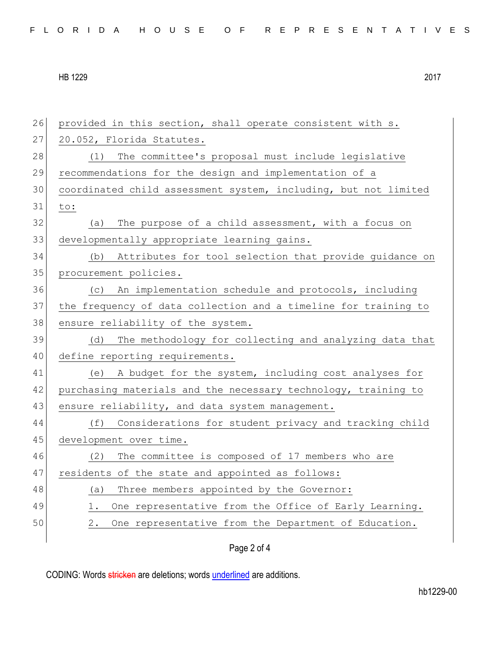| 26 | provided in this section, shall operate consistent with s.      |
|----|-----------------------------------------------------------------|
| 27 | 20.052, Florida Statutes.                                       |
| 28 | The committee's proposal must include legislative<br>(1)        |
| 29 | recommendations for the design and implementation of a          |
| 30 | coordinated child assessment system, including, but not limited |
| 31 | to:                                                             |
| 32 | The purpose of a child assessment, with a focus on<br>(a)       |
| 33 | developmentally appropriate learning gains.                     |
| 34 | (b) Attributes for tool selection that provide guidance on      |
| 35 | procurement policies.                                           |
| 36 | (c) An implementation schedule and protocols, including         |
| 37 | the frequency of data collection and a timeline for training to |
| 38 | ensure reliability of the system.                               |
| 39 | The methodology for collecting and analyzing data that<br>(d)   |
| 40 | define reporting requirements.                                  |
| 41 | A budget for the system, including cost analyses for<br>(e)     |
| 42 | purchasing materials and the necessary technology, training to  |
| 43 | ensure reliability, and data system management.                 |
| 44 | (f)<br>Considerations for student privacy and tracking child    |
| 45 | development over time.                                          |
| 46 | The committee is composed of 17 members who are<br>(2)          |
| 47 | residents of the state and appointed as follows:                |
| 48 | Three members appointed by the Governor:<br>(a)                 |
| 49 | One representative from the Office of Early Learning.<br>1.     |
| 50 | One representative from the Department of Education.<br>2.      |
|    | Page 2 of 4                                                     |
|    |                                                                 |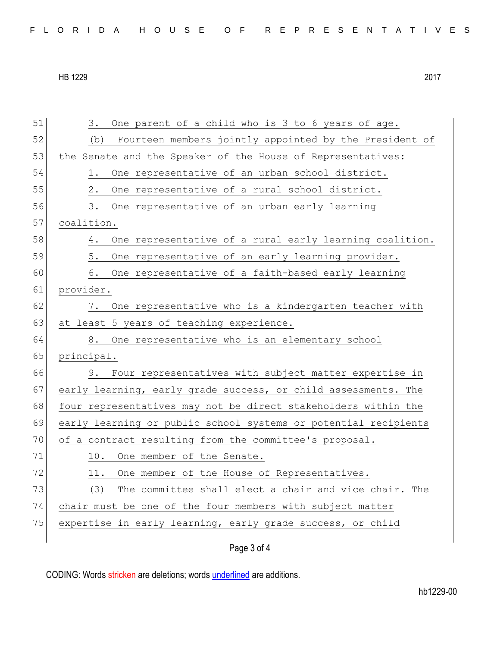| FLORIDA HOUSE OF REPRESENTATIVES |  |
|----------------------------------|--|
|----------------------------------|--|

| 51 | One parent of a child who is 3 to 6 years of age.<br>3.         |
|----|-----------------------------------------------------------------|
| 52 | Fourteen members jointly appointed by the President of<br>(b)   |
| 53 | the Senate and the Speaker of the House of Representatives:     |
| 54 | 1.<br>One representative of an urban school district.           |
| 55 | One representative of a rural school district.<br>2.            |
| 56 | One representative of an urban early learning<br>3.             |
| 57 | coalition.                                                      |
| 58 | One representative of a rural early learning coalition.<br>4.   |
| 59 | One representative of an early learning provider.<br>5.         |
| 60 | 6.<br>One representative of a faith-based early learning        |
| 61 | provider.                                                       |
| 62 | One representative who is a kindergarten teacher with<br>7.     |
| 63 | at least 5 years of teaching experience.                        |
| 64 | One representative who is an elementary school<br>8.            |
| 65 | principal.                                                      |
| 66 | Four representatives with subject matter expertise in<br>9.     |
| 67 | early learning, early grade success, or child assessments. The  |
| 68 | four representatives may not be direct stakeholders within the  |
| 69 | early learning or public school systems or potential recipients |
| 70 | of a contract resulting from the committee's proposal.          |
| 71 | One member of the Senate.<br>10.                                |
| 72 | One member of the House of Representatives.<br>11.              |
| 73 | The committee shall elect a chair and vice chair. The<br>(3)    |
| 74 | chair must be one of the four members with subject matter       |
| 75 | expertise in early learning, early grade success, or child      |
|    |                                                                 |

Page 3 of 4